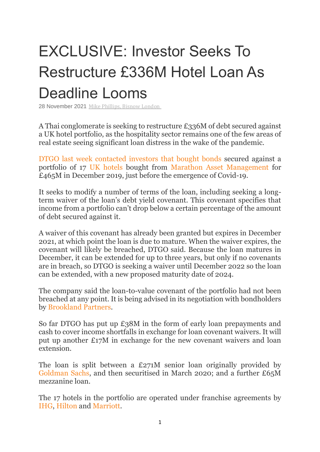## EXCLUSIVE: Investor Seeks To Restructure £336M Hotel Loan As Deadline Looms

28 November 2021 Mike [Phillips,](https://www.bisnow.com/author/mike-phillips-103547) Bisnow London

A Thai conglomerate is seeking to restructure £336M of debt secured against a UK hotel portfolio, as the hospitality sector remains one of the few areas of real estate seeing significant loan distress in the wake of the pandemic.

[DTGO](https://www.bisnow.com/tags/dtgo) [last week contacted investors that bought bonds](file://///Users/mikephillips/Downloads/Magenta%20-%20RNS%20-%20Notice%20of%20Meetings%20-%20final%20(20211123)%20(1).PDF) secured against a portfolio of 17 [UK hotels](https://www.bisnow.com/tags/uk-hotels) bought from [Marathon Asset Management](https://www.bisnow.com/tags/marathon-asset-management) for £465M in December 2019, just before the emergence of Covid-19.

It seeks to modify a number of terms of the loan, including seeking a longterm waiver of the loan's debt yield covenant. This covenant specifies that income from a portfolio can't drop below a certain percentage of the amount of debt secured against it.

A waiver of this covenant has already been granted but expires in December 2021, at which point the loan is due to mature. When the waiver expires, the covenant will likely be breached, DTGO said. Because the loan matures in December, it can be extended for up to three years, but only if no covenants are in breach, so DTGO is seeking a waiver until December 2022 so the loan can be extended, with a new proposed maturity date of 2024.

The company said the loan-to-value covenant of the portfolio had not been breached at any point. It is being advised in its negotiation with bondholders by [Brookland Partners.](https://www.bisnow.com/tags/brookland-partners)

So far DTGO has put up £38M in the form of early loan prepayments and cash to cover income shortfalls in exchange for loan covenant waivers. It will put up another £17M in exchange for the new covenant waivers and loan extension.

The loan is split between a £271M senior loan originally provided by [Goldman Sachs,](https://www.bisnow.com/tags/goldman-sachs) and then securitised in March 2020; and a further £65M mezzanine loan.

The 17 hotels in the portfolio are operated under franchise agreements by [IHG,](https://www.bisnow.com/tags/ihg) [Hilton](https://www.bisnow.com/tags/hilton) and [Marriott.](https://www.bisnow.com/tags/marriott)